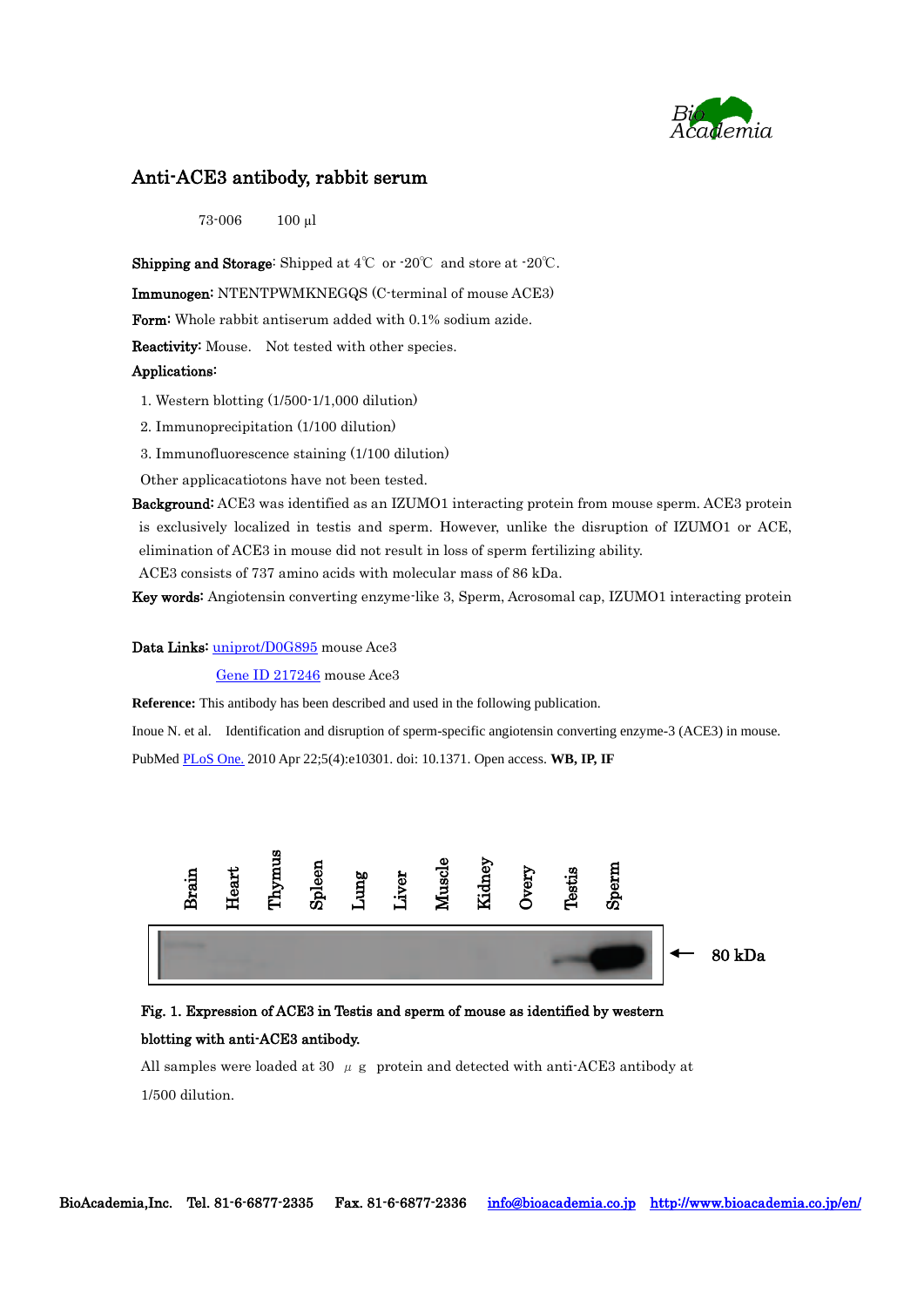

## Anti-ACE3 antibody, rabbit serum

73-006 100 µl

Shipping and Storage: Shipped at 4℃ or -20℃ and store at -20℃.

Immunogen: NTENTPWMKNEGQS (C-terminal of mouse ACE3)

Form: Whole rabbit antiserum added with 0.1% sodium azide.

Reactivity: Mouse. Not tested with other species.

### Applications:

- 1. Western blotting (1/500-1/1,000 dilution)
- 2. Immunoprecipitation (1/100 dilution)
- 3. Immunofluorescence staining (1/100 dilution)

Other applicacatiotons have not been tested.

Background: ACE3 was identified as an IZUMO1 interacting protein from mouse sperm. ACE3 protein is exclusively localized in testis and sperm. However, unlike the disruption of IZUMO1 or ACE, elimination of ACE3 in mouse did not result in loss of sperm fertilizing ability.

ACE3 consists of 737 amino acids with molecular mass of 86 kDa.

Key words: Angiotensin converting enzyme-like 3, Sperm, Acrosomal cap, IZUMO1 interacting protein

#### Data Links: [uniprot/D0G895](http://www.uniprot.org/uniprot/D0G895) mouse Ace3

[Gene ID 217246](http://www.ncbi.nlm.nih.gov/gene/217246) mouse Ace3

**Reference:** This antibody has been described and used in the following publication.

Inoue N. et al. Identification and disruption of sperm-specific angiotensin converting enzyme-3 (ACE3) in mouse. PubMed [PLoS One.](http://www.ncbi.nlm.nih.gov/pubmed/20421979) 2010 Apr 22;5(4):e10301. doi: 10.1371. Open access. **WB, IP, IF**



# Fig. 1. Expression of ACE3 in Testis and sperm of mouse as identified by western blotting with anti-ACE3 antibody.

All samples were loaded at 30  $\mu$  g protein and detected with anti-ACE3 antibody at 1/500 dilution.